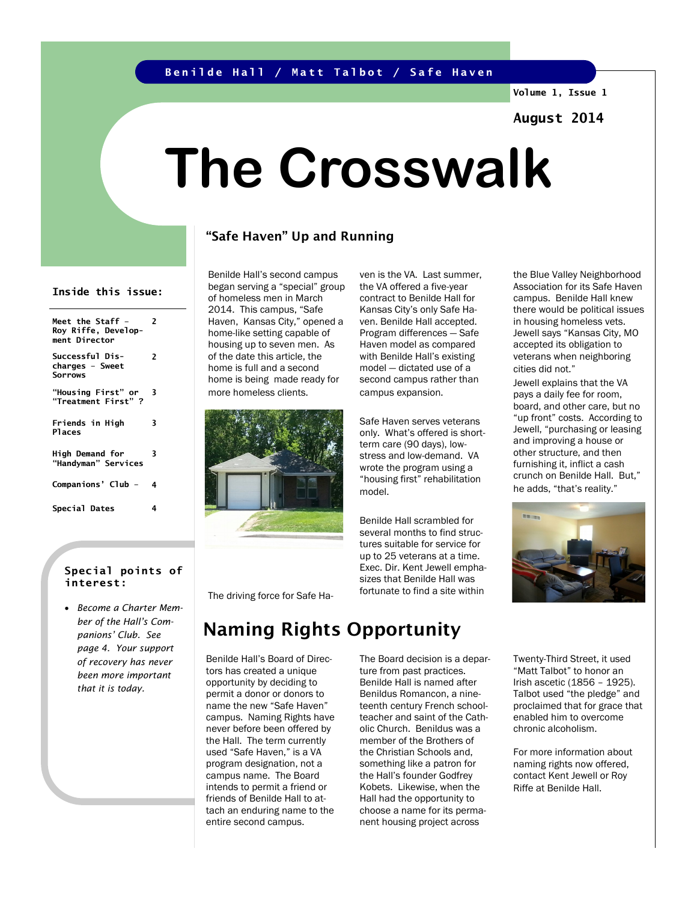### **Benilde Hall / Matt Talbot / Safe Haven**

**Volume 1, Issue 1**

## **August 2014**

# **The Crosswalk**

## "Safe Haven" Up and Running

#### **Inside this issue:**

| Meet the Staff -<br>Roy Riffe, Develop-<br>ment Director | 2 |
|----------------------------------------------------------|---|
| Successful Dis-<br>charges - Sweet<br><b>Sorrows</b>     | 2 |
| "Housing First" or<br>"Treatment First" ?                | 3 |
| Friends in High<br><b>Places</b>                         | 3 |
| High Demand for<br>"Handyman" Services                   | 3 |
| Companions' Club -                                       | 4 |
| Special Dates                                            | 4 |

#### **Special points of interest:**

• *Become a Charter Member of the Hall's Companions' Club. See page 4. Your support of recovery has never been more important that it is today.*

Benilde Hall's second campus began serving a "special" group of homeless men in March 2014. This campus, "Safe Haven, Kansas City," opened a home-like setting capable of housing up to seven men. As of the date this article, the home is full and a second home is being made ready for more homeless clients.



ven is the VA. Last summer, the VA offered a five-year contract to Benilde Hall for Kansas City's only Safe Haven. Benilde Hall accepted. Program differences — Safe Haven model as compared with Benilde Hall's existing model — dictated use of a second campus rather than campus expansion.

Safe Haven serves veterans only. What's offered is shortterm care (90 days), lowstress and low-demand. VA wrote the program using a "housing first" rehabilitation model.

Benilde Hall scrambled for several months to find structures suitable for service for up to 25 veterans at a time. Exec. Dir. Kent Jewell emphasizes that Benilde Hall was fortunate to find a site within

the Blue Valley Neighborhood Association for its Safe Haven campus. Benilde Hall knew there would be political issues in housing homeless vets. Jewell says "Kansas City, MO accepted its obligation to veterans when neighboring cities did not."

Jewell explains that the VA pays a daily fee for room, board, and other care, but no "up front" costs. According to Jewell, "purchasing or leasing and improving a house or other structure, and then furnishing it, inflict a cash crunch on Benilde Hall. But," he adds, "that's reality."



The driving force for Safe Ha-

# Naming Rights Opportunity

Benilde Hall's Board of Directors has created a unique opportunity by deciding to permit a donor or donors to name the new "Safe Haven" campus. Naming Rights have never before been offered by the Hall. The term currently used "Safe Haven," is a VA program designation, not a campus name. The Board intends to permit a friend or friends of Benilde Hall to attach an enduring name to the entire second campus.

The Board decision is a departure from past practices. Benilde Hall is named after Benildus Romancon, a nineteenth century French schoolteacher and saint of the Catholic Church. Benildus was a member of the Brothers of the Christian Schools and, something like a patron for the Hall's founder Godfrey Kobets. Likewise, when the Hall had the opportunity to choose a name for its permanent housing project across

Twenty-Third Street, it used "Matt Talbot" to honor an Irish ascetic (1856 – 1925). Talbot used "the pledge" and proclaimed that for grace that enabled him to overcome chronic alcoholism.

For more information about naming rights now offered, contact Kent Jewell or Roy Riffe at Benilde Hall.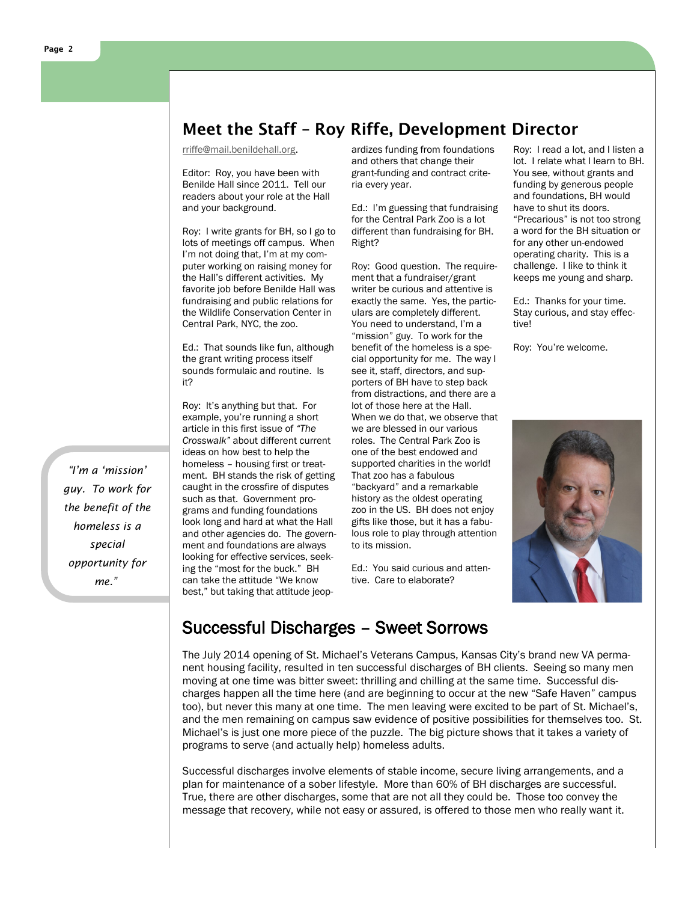# Meet the Staff – Roy Riffe, Development Director

[rriffe@mail.benildehall.org.](mailto:rriffe@mail.benildehall.org)

Editor: Roy, you have been with Benilde Hall since 2011. Tell our readers about your role at the Hall and your background.

Roy: I write grants for BH, so I go to lots of meetings off campus. When I'm not doing that, I'm at my computer working on raising money for the Hall's different activities. My favorite job before Benilde Hall was fundraising and public relations for the Wildlife Conservation Center in Central Park, NYC, the zoo.

Ed.: That sounds like fun, although the grant writing process itself sounds formulaic and routine. Is it?

Roy: It's anything but that. For example, you're running a short article in this first issue of *"The Crosswalk"* about different current ideas on how best to help the homeless – housing first or treatment. BH stands the risk of getting caught in the crossfire of disputes such as that. Government programs and funding foundations look long and hard at what the Hall and other agencies do. The government and foundations are always looking for effective services, seeking the "most for the buck." BH can take the attitude "We know best," but taking that attitude jeopardizes funding from foundations and others that change their grant-funding and contract criteria every year.

Ed.: I'm guessing that fundraising for the Central Park Zoo is a lot different than fundraising for BH. Right?

Roy: Good question. The requirement that a fundraiser/grant writer be curious and attentive is exactly the same. Yes, the particulars are completely different. You need to understand, I'm a "mission" guy. To work for the benefit of the homeless is a special opportunity for me. The way I see it, staff, directors, and supporters of BH have to step back from distractions, and there are a lot of those here at the Hall. When we do that, we observe that we are blessed in our various roles. The Central Park Zoo is one of the best endowed and supported charities in the world! That zoo has a fabulous "backyard" and a remarkable history as the oldest operating zoo in the US. BH does not enjoy gifts like those, but it has a fabulous role to play through attention to its mission.

Ed.: You said curious and attentive. Care to elaborate?

Roy: I read a lot, and I listen a lot. I relate what I learn to BH. You see, without grants and funding by generous people and foundations, BH would have to shut its doors. "Precarious" is not too strong a word for the BH situation or for any other un-endowed operating charity. This is a challenge. I like to think it keeps me young and sharp.

Ed.: Thanks for your time. Stay curious, and stay effective!

Roy: You're welcome.



# Successful Discharges – Sweet Sorrows

The July 2014 opening of St. Michael's Veterans Campus, Kansas City's brand new VA permanent housing facility, resulted in ten successful discharges of BH clients. Seeing so many men moving at one time was bitter sweet: thrilling and chilling at the same time. Successful discharges happen all the time here (and are beginning to occur at the new "Safe Haven" campus too), but never this many at one time. The men leaving were excited to be part of St. Michael's, and the men remaining on campus saw evidence of positive possibilities for themselves too. St. Michael's is just one more piece of the puzzle. The big picture shows that it takes a variety of programs to serve (and actually help) homeless adults.

Successful discharges involve elements of stable income, secure living arrangements, and a plan for maintenance of a sober lifestyle. More than 60% of BH discharges are successful. True, there are other discharges, some that are not all they could be. Those too convey the message that recovery, while not easy or assured, is offered to those men who really want it.

*"I'm a 'mission' guy. To work for the benefit of the homeless is a special opportunity for me."*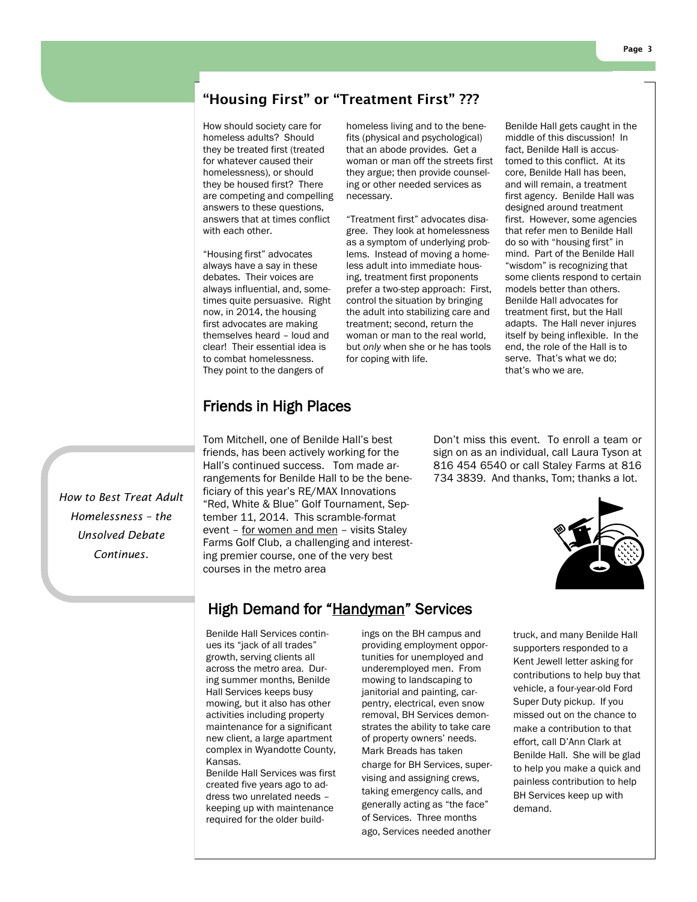## "Housing First" or "Treatment First" ???

How should society care for homeless adults? Should they be treated first (treated for whatever caused their homelessness), or should they be housed first? There are competing and compelling answers to these questions, answers that at times conflict with each other.

"Housing first" advocates always have a say in these debates. Their voices are always influential, and, sometimes quite persuasive. Right now, in 2014, the housing first advocates are making themselves heard – loud and clear! Their essential idea is to combat homelessness. They point to the dangers of

homeless living and to the benefits (physical and psychological) that an abode provides. Get a woman or man off the streets first they argue; then provide counseling or other needed services as necessary.

"Treatment first" advocates disagree. They look at homelessness as a symptom of underlying problems. Instead of moving a homeless adult into immediate housing, treatment first proponents prefer a two-step approach: First, control the situation by bringing the adult into stabilizing care and treatment; second, return the woman or man to the real world, but *only* when she or he has tools for coping with life.

Benilde Hall gets caught in the middle of this discussion! In fact, Benilde Hall is accustomed to this conflict. At its core, Benilde Hall has been, and will remain, a treatment first agency. Benilde Hall was designed around treatment first. However, some agencies that refer men to Benilde Hall do so with "housing first" in mind. Part of the Benilde Hall "wisdom" is recognizing that some clients respond to certain models better than others. Benilde Hall advocates for treatment first, but the Hall adapts. The Hall never injures itself by being inflexible. In the end, the role of the Hall is to serve. That's what we do; that's who we are.

## Friends in High Places

Tom Mitchell, one of Benilde Hall's best friends, has been actively working for the Hall's continued success. Tom made arrangements for Benilde Hall to be the beneficiary of this year's RE/MAX Innovations "Red, White & Blue" Golf Tournament, September 11, 2014. This scramble-format event – for women and men – visits Staley Farms Golf Club, a challenging and interesting premier course, one of the very best courses in the metro area

Don't miss this event. To enroll a team or sign on as an individual, call Laura Tyson at 816 454 6540 or call Staley Farms at 816 734 3839. And thanks, Tom; thanks a lot.



*Continues.*

*How to Best Treat Adult Homelessness – the Unsolved Debate* 

## High Demand for "Handyman" Services

Benilde Hall Services continues its "jack of all trades" growth, serving clients all across the metro area. During summer months, Benilde Hall Services keeps busy mowing, but it also has other activities including property maintenance for a significant new client, a large apartment complex in Wyandotte County, Kansas.

Benilde Hall Services was first created five years ago to address two unrelated needs – keeping up with maintenance required for the older buildings on the BH campus and providing employment opportunities for unemployed and underemployed men. From mowing to landscaping to janitorial and painting, carpentry, electrical, even snow removal, BH Services demonstrates the ability to take care of property owners' needs. Mark Breads has taken charge for BH Services, supervising and assigning crews, taking emergency calls, and generally acting as "the face" of Services. Three months ago, Services needed another

truck, and many Benilde Hall supporters responded to a Kent Jewell letter asking for contributions to help buy that vehicle, a four-year-old Ford Super Duty pickup. If you missed out on the chance to make a contribution to that effort, call D'Ann Clark at Benilde Hall. She will be glad to help you make a quick and painless contribution to help BH Services keep up with demand.